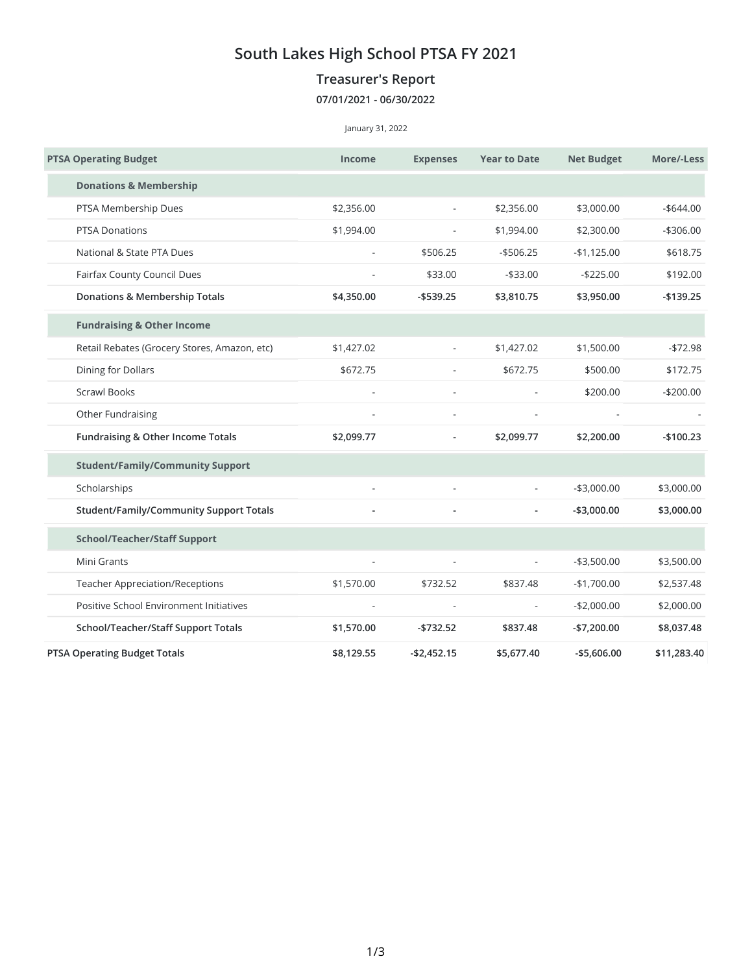## **South Lakes High School PTSA FY 2021**

## **Treasurer's Report**

## **07/01/2021 - 06/30/2022**

January 31, 2022

| <b>PTSA Operating Budget</b>                   | <b>Income</b>            | <b>Expenses</b>                        | <b>Year to Date</b>      | <b>Net Budget</b> | More/-Less                          |
|------------------------------------------------|--------------------------|----------------------------------------|--------------------------|-------------------|-------------------------------------|
| <b>Donations &amp; Membership</b>              |                          |                                        |                          |                   |                                     |
| PTSA Membership Dues                           | \$2,356.00               | \$2,356.00<br>$\overline{\phantom{a}}$ |                          | \$3,000.00        | $-$ \$644.00                        |
| <b>PTSA Donations</b>                          | \$1,994.00               |                                        | \$1,994.00               | \$2,300.00        | $-$306.00$                          |
| National & State PTA Dues                      | $\overline{\phantom{a}}$ | \$506.25                               | $-$506.25$               | $-$1,125.00$      | \$618.75                            |
| Fairfax County Council Dues                    |                          | \$33.00                                | $- $33.00$               | $-$225.00$        | \$192.00                            |
| <b>Donations &amp; Membership Totals</b>       | \$4,350.00               | $-$ \$539.25                           | \$3,810.75               | \$3,950.00        | $-$139.25$                          |
| <b>Fundraising &amp; Other Income</b>          |                          |                                        |                          |                   |                                     |
| Retail Rebates (Grocery Stores, Amazon, etc)   | \$1,427.02               | $\blacksquare$                         | \$1,427.02               | \$1,500.00        | $-$72.98$<br>\$172.75<br>$-$200.00$ |
| Dining for Dollars                             | \$672.75                 | $\overline{\phantom{a}}$               | \$672.75                 | \$500.00          |                                     |
| <b>Scrawl Books</b>                            |                          | L,                                     |                          | \$200.00          |                                     |
| Other Fundraising                              |                          |                                        |                          |                   |                                     |
| Fundraising & Other Income Totals              | \$2,099.77               | $\overline{\phantom{a}}$               | \$2,099.77               | \$2,200.00        | $-$100.23$                          |
| <b>Student/Family/Community Support</b>        |                          |                                        |                          |                   |                                     |
| Scholarships                                   | $\overline{a}$           | L,                                     |                          | $-$3,000.00$      | \$3,000.00                          |
| <b>Student/Family/Community Support Totals</b> |                          |                                        |                          | $-$3,000.00$      | \$3,000.00                          |
| <b>School/Teacher/Staff Support</b>            |                          |                                        |                          |                   |                                     |
| Mini Grants                                    | ٠                        |                                        | $\frac{1}{2}$            | $-$3,500.00$      | \$3,500.00                          |
| <b>Teacher Appreciation/Receptions</b>         | \$1,570.00               | \$732.52                               | \$837.48                 | $-$1,700.00$      | \$2,537.48                          |
| Positive School Environment Initiatives        | ÷,                       |                                        | $\overline{\phantom{a}}$ | $-$2,000.00$      | \$2,000.00                          |
| School/Teacher/Staff Support Totals            | \$1,570.00               | $-$732.52$                             | \$837.48                 | $-$7,200.00$      | \$8,037.48                          |
| <b>PTSA Operating Budget Totals</b>            | \$8,129.55               | $-$2,452.15$                           | \$5,677.40               | $-$5,606.00$      | \$11,283.40                         |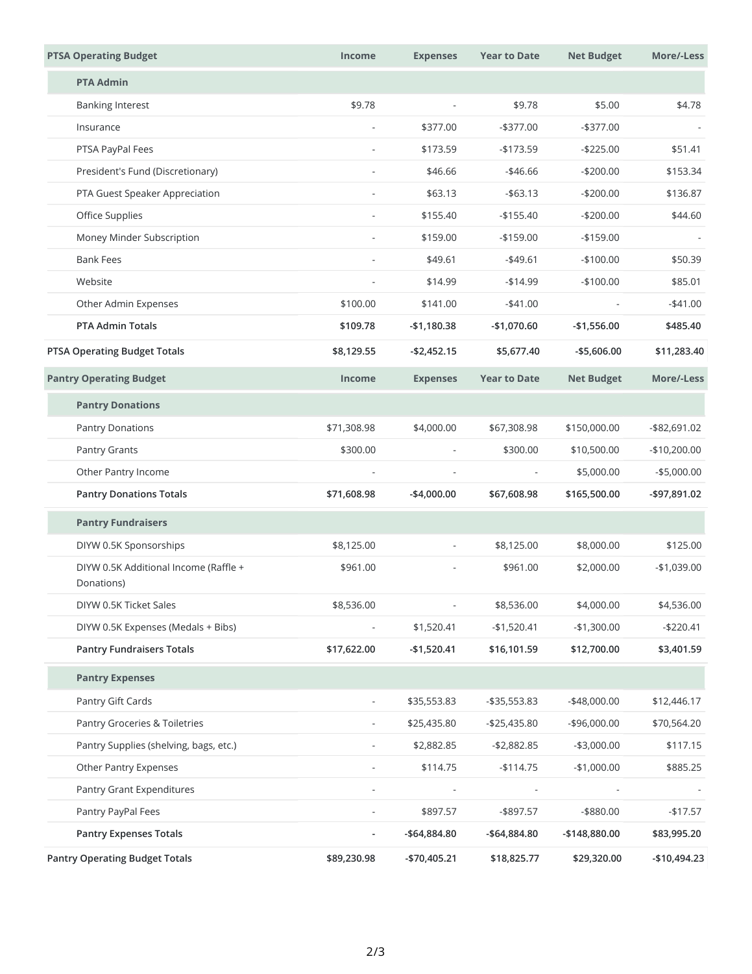|  | <b>PTSA Operating Budget</b>                        | <b>Income</b>            | <b>Expenses</b>          | <b>Year to Date</b>                                                     | <b>Net Budget</b>                                                                                              | More/-Less                                                         |
|--|-----------------------------------------------------|--------------------------|--------------------------|-------------------------------------------------------------------------|----------------------------------------------------------------------------------------------------------------|--------------------------------------------------------------------|
|  | <b>PTA Admin</b>                                    |                          |                          |                                                                         |                                                                                                                |                                                                    |
|  | <b>Banking Interest</b>                             | \$9.78                   | $\overline{\phantom{0}}$ | \$9.78                                                                  | \$5.00                                                                                                         | \$4.78                                                             |
|  | Insurance                                           | $\overline{\phantom{a}}$ | \$377.00                 | $-$ \$377.00                                                            | $-$ \$377.00                                                                                                   |                                                                    |
|  | PTSA PayPal Fees                                    | $\frac{1}{2}$            | \$173.59                 | $-$173.59$                                                              | $-$225.00$                                                                                                     | \$51.41                                                            |
|  | President's Fund (Discretionary)                    |                          | \$46.66                  | $-$ \$46.66                                                             | $-$200.00$                                                                                                     | \$153.34                                                           |
|  | PTA Guest Speaker Appreciation                      | $\overline{\phantom{a}}$ | \$63.13                  | $-$ \$63.13                                                             | $-$200.00$<br>$-$200.00$<br>$-$159.00$<br>$-$100.00$<br>$-$100.00$<br>$\overline{\phantom{a}}$<br>$-$1,556.00$ | \$136.87<br>\$44.60<br>\$50.39<br>\$85.01<br>$-$41.00$<br>\$485.40 |
|  | Office Supplies                                     | $\overline{\phantom{a}}$ | \$155.40                 | $-$155.40$                                                              |                                                                                                                |                                                                    |
|  | Money Minder Subscription                           | $\overline{\phantom{a}}$ | \$159.00                 | $-$ \$159.00<br>$-$ \$49.61<br>$-$14.99$<br>$-$ \$41.00<br>$-$1,070.60$ |                                                                                                                |                                                                    |
|  | <b>Bank Fees</b>                                    | $\overline{\phantom{a}}$ | \$49.61                  |                                                                         |                                                                                                                |                                                                    |
|  | Website                                             | $\frac{1}{2}$            | \$14.99                  |                                                                         |                                                                                                                |                                                                    |
|  | Other Admin Expenses                                | \$100.00                 | \$141.00                 |                                                                         |                                                                                                                |                                                                    |
|  | <b>PTA Admin Totals</b>                             | \$109.78                 | $-$1,180.38$             |                                                                         |                                                                                                                |                                                                    |
|  | <b>PTSA Operating Budget Totals</b>                 | \$8,129.55               | $-$2,452.15$             | \$5,677.40                                                              | $-$5,606.00$                                                                                                   | \$11,283.40                                                        |
|  | <b>Pantry Operating Budget</b>                      | <b>Income</b>            | <b>Expenses</b>          | <b>Year to Date</b>                                                     | <b>Net Budget</b>                                                                                              | More/-Less                                                         |
|  | <b>Pantry Donations</b>                             |                          |                          |                                                                         |                                                                                                                |                                                                    |
|  | <b>Pantry Donations</b>                             | \$71,308.98              | \$4,000.00               | \$67,308.98                                                             | \$150,000.00                                                                                                   | -\$82,691.02                                                       |
|  | Pantry Grants                                       | \$300.00                 | $\overline{\phantom{0}}$ | \$300.00<br>$\overline{\phantom{a}}$                                    | \$10,500.00<br>\$5,000.00<br>\$165,500.00                                                                      | $-$10,200.00$<br>$-$5,000.00$<br>-\$97,891.02                      |
|  | Other Pantry Income                                 | $\overline{a}$           | L,                       |                                                                         |                                                                                                                |                                                                    |
|  | <b>Pantry Donations Totals</b>                      | \$71,608.98              | $-$4,000.00$             | \$67,608.98                                                             |                                                                                                                |                                                                    |
|  | <b>Pantry Fundraisers</b>                           |                          |                          |                                                                         |                                                                                                                |                                                                    |
|  | DIYW 0.5K Sponsorships                              | \$8,125.00               |                          | \$8,125.00                                                              | \$8,000.00                                                                                                     | \$125.00                                                           |
|  | DIYW 0.5K Additional Income (Raffle +<br>Donations) | \$961.00                 |                          | \$961.00                                                                | \$2,000.00                                                                                                     | $-$1,039.00$                                                       |
|  | DIYW 0.5K Ticket Sales                              | \$8,536.00               |                          | \$8,536.00                                                              | \$4,000.00                                                                                                     | \$4,536.00                                                         |
|  | DIYW 0.5K Expenses (Medals + Bibs)                  |                          | \$1,520.41               | $-$1,520.41$                                                            | $-$1,300.00$                                                                                                   | $-$220.41$                                                         |
|  | <b>Pantry Fundraisers Totals</b>                    | \$17,622.00              | $-$1,520.41$             | \$16,101.59                                                             | \$12,700.00                                                                                                    | \$3,401.59                                                         |
|  | <b>Pantry Expenses</b>                              |                          |                          |                                                                         |                                                                                                                |                                                                    |
|  | Pantry Gift Cards                                   | $\overline{\phantom{a}}$ | \$35,553.83              | $-$ \$35,553.83                                                         | -\$48,000.00                                                                                                   | \$12,446.17                                                        |
|  | Pantry Groceries & Toiletries                       |                          | \$25,435.80              | -\$25,435.80                                                            | $-$96,000.00$                                                                                                  | \$70,564.20                                                        |
|  | Pantry Supplies (shelving, bags, etc.)              |                          | \$2,882.85               | $-$2,882.85$                                                            | $-$3,000.00$                                                                                                   | \$117.15                                                           |
|  | Other Pantry Expenses                               |                          | \$114.75                 | $-$114.75$                                                              | $-$1,000.00$                                                                                                   | \$885.25                                                           |
|  | Pantry Grant Expenditures                           |                          |                          |                                                                         |                                                                                                                |                                                                    |
|  | Pantry PayPal Fees                                  |                          | \$897.57                 | -\$897.57                                                               | -\$880.00                                                                                                      | $-$17.57$                                                          |
|  | <b>Pantry Expenses Totals</b>                       |                          | -\$64,884.80             | -\$64,884.80                                                            | -\$148,880.00                                                                                                  | \$83,995.20                                                        |
|  | <b>Pantry Operating Budget Totals</b>               | \$89,230.98              | -\$70,405.21             | \$18,825.77                                                             | \$29,320.00                                                                                                    | -\$10,494.23                                                       |